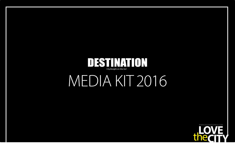

# MEDIA KIT 2016

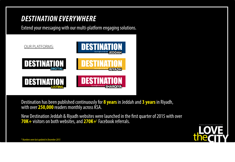## *DESTINATION EVERYWHERE*

Extend your messaging with our multi-platform engaging solutions.



Destination has been published continuously for **8 years**in Jeddah and **3 years**in Riyadh, with over **250,000** readers monthly across KSA.

New Destination Jeddah & Riyadh websites were launched in the first quarter of 2015 with over 70K+ visitors on both websites, and 270K+\* Facebook referrals.

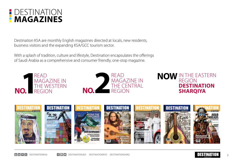

Destination KSA are monthly English magazines directed at locals, new residents, business visitors and the expanding KSA/GCC tourism sector.

With a splash of tradition, culture and lifestyle, Destination encapsulates the offerings of Saudi Arabia as a comprehensive and consumer friendly, one-stop magazine.









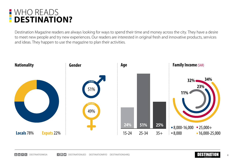#### WHO READS П **DESTINATION?**

Destination Magazine readers are always looking for ways to spend their time and money across the city. They have a desire to meet new people and try new experiences. Our readers are interested in original fresh and innovative products, services and ideas. They happen to use the magazine to plan their activities.



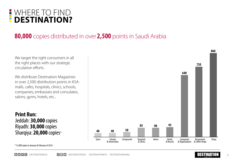

### **80,000** copies distributed in over **2,500** points in Saudi Arabia

We target the right consumers in all the right places with our strategic circulation efforts.

We distribute Destination Magazines in over 2,500 distribution points in KSA: malls, cafes, hospitals, clinics, schools, companies, embassies and consulates, salons, gyms, hotels, etc...

**Print Run:** Jeddah: **30,000** copies Riyadh: **30,000** copies Sharqiya: **20,000** copies \*



*\* 15,000 copies in January & February of 2016*

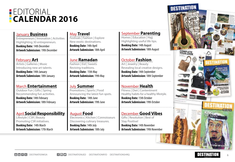### **EDITORIAL CALENDAR 2016**

#### January **Business**

Entrepreneurs | Innovation | Activities Highlighting 30 entrepreneurs. **Booking Date:** 14th December **Artwork Submission:** 19th December

#### February **Art**

Artists | Galleries | Music Introducing new art talents.

**Booking Date:** 14th January **Artwork Submission:** 18th January

#### March **Entertainment**

Outdoor Fun | Gifts | Spring Recommending fun activities. **Booking Date:** 14th February **Artwork Submission:** 18th February

#### April **Social Responsibility**  Lifestyle | CSR | Beauty

Promoting CSR initiatives.

**Booking Date:** 14th March **Artwork Submission:** 17th March

#### May **Travel**

Festivals | Fashion | Explore New exotic destinations. **Booking Date:** 14th April **Artwork Submission:** 18th April

June **Ramadan** Fashion | Eid | Sweets Reviving traditions. **Booking Date:** 15th May **Artwork Submission:** 19th May

July **Summer** Promotions | Sports | Food Announcing the latest fun spots. **Booking Date:** 14th June **Artwork Submission:** 19th June

August **Food** Electronics | Kitchen | Connoisseurs Discovering culinary treasures. **Booking Date:** 14th July **Artwork Submission:** 18th July

#### September **Parenting**

Homes | Education | Hajj Highlighting useful life tips. **Booking Date:** 14th August **Artwork Submission:** 18th August

#### October **Fashion**

Art | Jewelry | Beauty Revealing local creative designs. **Booking Date:** 14th September **Artwork Submission:** 18th September

### November **Health**

Fitness | Diet | Contentment Healthy habits for a healthy lifestyle. **Booking Date:** 15th October **Artwork Submission:** 19th October

December **Good Vibes** Gifts | Resolution | Best of Stay Positive! **Booking Date:** 14th November **Artwork Submission:** 19th November



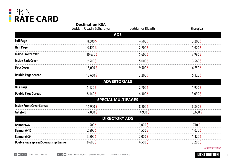

|                                              | <b>Destination KSA</b><br>Jeddah, Riyadh & Sharqiya | Jeddah or Riyadh | Sharqiya                            |
|----------------------------------------------|-----------------------------------------------------|------------------|-------------------------------------|
|                                              | <b>ADS</b>                                          |                  |                                     |
| <b>Full Page</b>                             | $8,600\sqrt{5}$                                     | $4,500\sqrt{5}$  | $3,200$ \$                          |
| <b>Half Page</b>                             | $5,120$ \$                                          | 2,700\$          | 1,920\$                             |
| <b>Inside Front Cover</b>                    | $10,630$ \$                                         | $5,600\sqrt{5}$  | $3,980\sqrt{2}$                     |
| <b>Inside Back Cover</b>                     | $9,500$ \$                                          | $5,000\sqrt{5}$  | $3,560$ \$                          |
| <b>Back Cover</b>                            | 18,000\$                                            | $9,500\sqrt{2}$  | $6,750$ \$                          |
| <b>Double Page Spread</b>                    | $13,660$ \$                                         | $7,200$ \$       | $5,120$ \$                          |
|                                              | <b>ADVERTORIALS</b>                                 |                  |                                     |
| <b>One Page</b>                              | $5,120$ \$                                          | $2,700$ \$       | 1,920\$                             |
| <b>Double Page Spread</b>                    | $8,160\sqrt{2}$                                     | $4,300\sqrt{5}$  | $3,030\sqrt{5}$                     |
|                                              | <b>SPECIAL MULTIPAGES</b>                           |                  |                                     |
| <b>Inside Front Cover Spread</b>             | 16,900\$                                            | $8,900\sqrt{2}$  | $6,330\sqrt{2}$                     |
| Gatefold                                     | 17,800\$                                            | 14,900\$         | 10,600\$                            |
|                                              | <b>DIRECTORY ADS</b>                                |                  |                                     |
| <b>Banner 6x6</b>                            | 1,900\$                                             | $1,000\sqrt{5}$  | 710\$                               |
| <b>Banner 6x12</b>                           | $2,800\sqrt{5}$                                     | $1,500$ \$       | 1,070\$                             |
| <b>Banner 6x24</b>                           | $3,800\sqrt{2}$                                     | $2,000\sqrt{5}$  | 1,420\$                             |
| <b>Double Page Spread Sponsorship Banner</b> | $8,600\sqrt{5}$                                     | $4,500\sqrt{5}$  | $3,200$ \$<br>All prices are in USD |

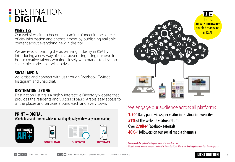### DESTINATION **DIGITAL**

#### **WEBSITES**

Our websites aim to become a leading pioneer in the source of city information and entertainment by publishing realiable content about everything new in the city.

We are revolutionizing the advertising industry in KSA by introducing a new way of social advertising using our own inhouse creative talents working closely with brands to develop shareable stories that will go rival.

#### **SOCIAL MEDIA**

Advertise and connect with us through Facebook, Twitter, Instagram and Snapchat.

#### **DESTINATION LISTING**

Destination Listing is a highly interactive Directory website that provides the residents and visitors of Saudi Arabia easy access to all the places and services around each and every town.

#### **PRINT + DIGITAL**

Watch, hear and connect while interacting digitally with what you are reading.





### We engage our audience across all platforms

1.70<sup>\*</sup> Daily page views per visitor in Destination websites **51%** of the website visitors return Over 270K+<sup>\*</sup> Facebook referrals 40K+\* followers on our social media channels

*Please check the updated daily page views at www.alexa.com All Social Media numbers were last updated in December 2015. Please ask for the updated numbers & weekly report*

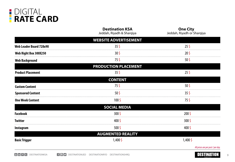

|                                | <b>Destination KSA</b><br>Jeddah, Riyadh & Sharqiya | <b>One City</b><br>Jeddah, Riyadh or Sharqiya |
|--------------------------------|-----------------------------------------------------|-----------------------------------------------|
|                                | <b>WEBSITE ADVERTISEMENT</b>                        |                                               |
| <b>Web Leader Board 728x90</b> | 35 <sup>5</sup>                                     | $25\frac{1}{2}$                               |
| Web Right Box 300X250          | 30 S                                                | 20 <sup>5</sup>                               |
| <b>Web Background</b>          | 75\$                                                | $50\frac{2}{3}$                               |
|                                | <b>PRODUCTION PLACEMENT</b>                         |                                               |
| <b>Product Placement</b>       | 35 <sup>5</sup>                                     | $25\frac{1}{2}$                               |
|                                | <b>CONTENT</b>                                      |                                               |
| <b>Custom Content</b>          | 75 <sup>5</sup>                                     | $50\sqrt{5}$                                  |
| <b>Sponsored Content</b>       | 50\$                                                | 35 <sup>5</sup>                               |
| <b>One Week Content</b>        | 100 <sub>5</sub>                                    | 75\$                                          |
|                                | <b>SOCIAL MEDIA</b>                                 |                                               |
| <b>Facebook</b>                | $300\frac{1}{2}$                                    | $200\frac{1}{2}$                              |
| Twitter                        | 400\$                                               | 300 <sup>5</sup>                              |
| Instagram                      | $500\sqrt{5}$                                       | $400\sqrt{5}$                                 |
|                                | <b>AUGMENTED REALITY</b>                            |                                               |
| <b>Basic Trigger</b>           | $1,400\sqrt{5}$                                     | 1,400\$                                       |
|                                |                                                     | All prices are per post / per day.            |

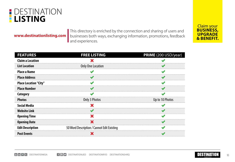### **DESTINATION LISTING**

**www.destinationlisting.com** 

This directory is enriched by the connection and sharing of users and businesses both ways, exchanging information, promotions, feedback and experiences.



| <b>FEATURES</b>              | <b>FREE LISTING</b>                        | PRIME (200 USD/year) |
|------------------------------|--------------------------------------------|----------------------|
| <b>Claim a Location</b>      |                                            |                      |
| <b>List Location</b>         | Only One Location                          |                      |
| <b>Place a Name</b>          |                                            |                      |
| <b>Place Address</b>         |                                            |                      |
| <b>Place Location "City"</b> |                                            |                      |
| <b>Place Number</b>          |                                            |                      |
| Category                     |                                            |                      |
| <b>Photos</b>                | Only 3 Photos                              | Up to 10 Photos      |
| <b>Social Media</b>          |                                            |                      |
| <b>Website Link</b>          |                                            |                      |
| <b>Opening Time</b>          |                                            |                      |
| <b>Opening Date</b>          |                                            |                      |
| <b>Edit Description</b>      | 50 Word Description / Cannot Edit Existing |                      |
| <b>Post Events</b>           |                                            |                      |

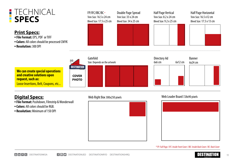### **TECHNICAL SPECS**

#### **Print Specs:**

- • **File Format:** EPS, PDF or TIFF
- • **Colors:** All colors should be processed CMYK
- • **Resolution:** 300 DPI

| FP/IFC/IBC/BC *<br>Trim Size: $16.5 \times 24$ cm<br>Bleed Size: 17.5 x 25 cm | Double Page Spread<br>Trim Size: $33 \times 24$ cm<br>Bleed Size: 34 x 25 cm | Half Page Vertical<br>Trim Size: $8.2 \times 24$ cm<br>Bleed Size: 9.2 x 25 cm | Half Page Horizontal<br>Trim Size: 16.5 x12 cm<br>Bleed Size: 17.5 x 13 cm |
|-------------------------------------------------------------------------------|------------------------------------------------------------------------------|--------------------------------------------------------------------------------|----------------------------------------------------------------------------|
|                                                                               |                                                                              |                                                                                |                                                                            |
|                                                                               |                                                                              |                                                                                |                                                                            |
|                                                                               |                                                                              |                                                                                |                                                                            |

Gatefold Directory Ad Banner 6x6 cm 6x12 cm Size: Depends on the artwork 6x24 cm **DESTINATION We can create special operations and creative solutions upon COVER request, such as: PHOTO** Loose Insertions, Belt, Coupons, etc...

- • **File Format:** Pushdown, Filmstrip & Wonderwall
- • **Colors:** All colors should be RGB.
- • **Resolution:** Minimum of 150 DPI

#### **Digital Specs:** 300x250 pixels 300x250 pixels 300x250 pixels 300x250 pixels 300x250 pixels 300x250 pixels 300x250 pixels





*\* FP: Full Page / IFC: Inside Front Cover / IBC: Inside Back Cover / BC: Back Cover*

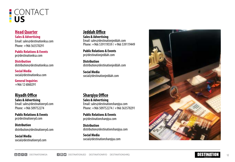### **CONTACT US**

**Head Quarter Sales & Advertising** Email: sales@destinationksa.com Phone: +966 563578291

**Public Relations & Events** pr@destinationksa.com

**Distribution** distribution@destinationksa.com

**Social Medi a** social@destinationksa.com

**General Inquiries** +966 12 6060291

**Riyadh Office Sales & Advertising** Email: sales@destinationryd.com Phone: +966 509752274

**Public Relations & Events** pr@destinationryd.com

**Distribution** distribution@destinationryd.com

**Social Media** social@destinationryd.com

#### **Jeddah Office**

**Sales & Advertising** Email: sales@destinationjeddah.com Phone: +966 539119559 / +966 539119449

**Public Relations & Events** pr@destinationjeddah.com

**Distribution** distribution@destinationjeddah.com

**Social Media** social@destinationjeddah.com

#### **Sharqiya Office**

**Sales & Advertising** Email: sales@destinationsharqiya.com Phone: +966 509752274 / +966 563578291

**Public Relations & Events** pr@destinationsharqiya.com

**Distribution** distribution@destinationsharqiya.com

**Social Media** social@destinationsharqiya.com